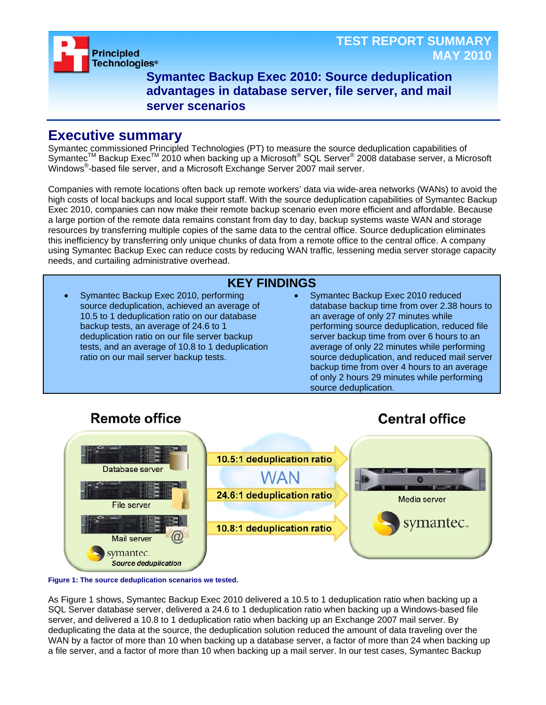

**Symantec Backup Exec 2010: Source deduplication advantages in database server, file server, and mail server scenarios**

### **Executive summary**

Symantec commissioned Principled Technologies (PT) to measure the source deduplication capabilities of Symantec™ Backup Exec™ 2010 when backing up a Microsoft® SQL Server® 2008 database server, a Microsoft Windows® -based file server, and a Microsoft Exchange Server 2007 mail server.

Companies with remote locations often back up remote workers' data via wide-area networks (WANs) to avoid the high costs of local backups and local support staff. With the source deduplication capabilities of Symantec Backup Exec 2010, companies can now make their remote backup scenario even more efficient and affordable. Because a large portion of the remote data remains constant from day to day, backup systems waste WAN and storage resources by transferring multiple copies of the same data to the central office. Source deduplication eliminates this inefficiency by transferring only unique chunks of data from a remote office to the central office. A company using Symantec Backup Exec can reduce costs by reducing WAN traffic, lessening media server storage capacity needs, and curtailing administrative overhead.

**KEY FINDINGS** • Symantec Backup Exec 2010, performing source deduplication, achieved an average of 10.5 to 1 deduplication ratio on our database backup tests, an average of 24.6 to 1 deduplication ratio on our file server backup tests, and an average of 10.8 to 1 deduplication ratio on our mail server backup tests. • Symantec Backup Exec 2010 reduced database backup time from over 2.38 hours to an average of only 27 minutes while performing source deduplication, reduced file server backup time from over 6 hours to an average of only 22 minutes while performing source deduplication, and reduced mail server backup time from over 4 hours to an average of only 2 hours 29 minutes while performing source deduplication.

# **Remote office**

# **Central office**





As Figure 1 shows, Symantec Backup Exec 2010 delivered a 10.5 to 1 deduplication ratio when backing up a SQL Server database server, delivered a 24.6 to 1 deduplication ratio when backing up a Windows-based file server, and delivered a 10.8 to 1 deduplication ratio when backing up an Exchange 2007 mail server. By deduplicating the data at the source, the deduplication solution reduced the amount of data traveling over the WAN by a factor of more than 10 when backing up a database server, a factor of more than 24 when backing up a file server, and a factor of more than 10 when backing up a mail server. In our test cases, Symantec Backup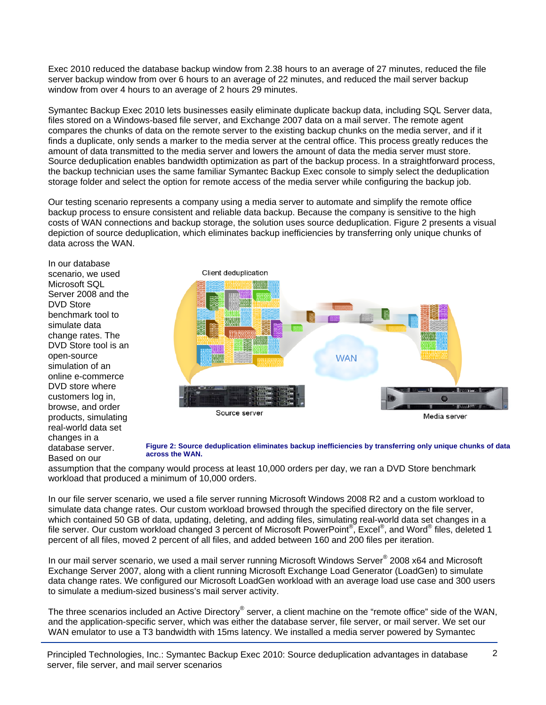Exec 2010 reduced the database backup window from 2.38 hours to an average of 27 minutes, reduced the file server backup window from over 6 hours to an average of 22 minutes, and reduced the mail server backup window from over 4 hours to an average of 2 hours 29 minutes.

Symantec Backup Exec 2010 lets businesses easily eliminate duplicate backup data, including SQL Server data, files stored on a Windows-based file server, and Exchange 2007 data on a mail server. The remote agent compares the chunks of data on the remote server to the existing backup chunks on the media server, and if it finds a duplicate, only sends a marker to the media server at the central office. This process greatly reduces the amount of data transmitted to the media server and lowers the amount of data the media server must store. Source deduplication enables bandwidth optimization as part of the backup process. In a straightforward process, the backup technician uses the same familiar Symantec Backup Exec console to simply select the deduplication storage folder and select the option for remote access of the media server while configuring the backup job.

Our testing scenario represents a company using a media server to automate and simplify the remote office backup process to ensure consistent and reliable data backup. Because the company is sensitive to the high costs of WAN connections and backup storage, the solution uses source deduplication. Figure 2 presents a visual depiction of source deduplication, which eliminates backup inefficiencies by transferring only unique chunks of data across the WAN.

In our database scenario, we used Microsoft SQL Server 2008 and the DVD Store benchmark tool to simulate data change rates. The DVD Store tool is an open-source simulation of an online e-commerce DVD store where customers log in, browse, and order products, simulating real-world data set changes in a database server. Based on our



#### **Figure 2: Source deduplication eliminates backup inefficiencies by transferring only unique chunks of data across the WAN.**

assumption that the company would process at least 10,000 orders per day, we ran a DVD Store benchmark workload that produced a minimum of 10,000 orders.

In our file server scenario, we used a file server running Microsoft Windows 2008 R2 and a custom workload to simulate data change rates. Our custom workload browsed through the specified directory on the file server, which contained 50 GB of data, updating, deleting, and adding files, simulating real-world data set changes in a file server. Our custom workload changed 3 percent of Microsoft PowerPoint®, Excel®, and Word® files, deleted 1 percent of all files, moved 2 percent of all files, and added between 160 and 200 files per iteration.

In our mail server scenario, we used a mail server running Microsoft Windows Server® 2008 x64 and Microsoft Exchange Server 2007, along with a client running Microsoft Exchange Load Generator (LoadGen) to simulate data change rates. We configured our Microsoft LoadGen workload with an average load use case and 300 users to simulate a medium-sized business's mail server activity.

The three scenarios included an Active Directory® server, a client machine on the "remote office" side of the WAN, and the application-specific server, which was either the database server, file server, or mail server. We set our WAN emulator to use a T3 bandwidth with 15ms latency. We installed a media server powered by Symantec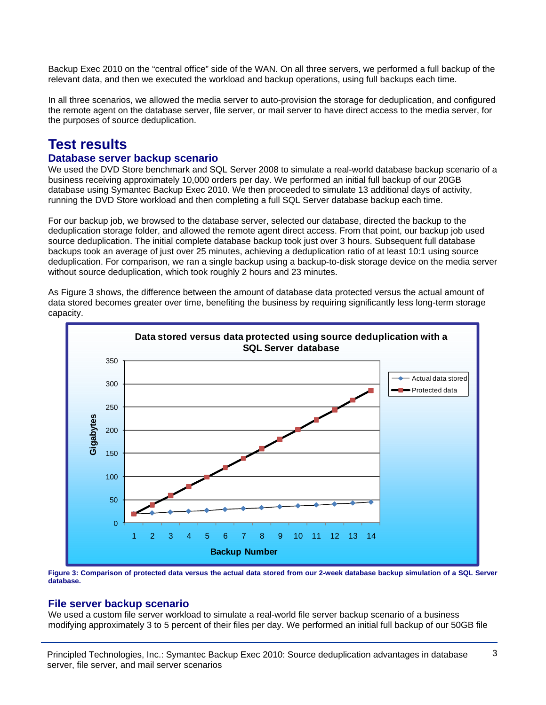Backup Exec 2010 on the "central office" side of the WAN. On all three servers, we performed a full backup of the relevant data, and then we executed the workload and backup operations, using full backups each time.

In all three scenarios, we allowed the media server to auto-provision the storage for deduplication, and configured the remote agent on the database server, file server, or mail server to have direct access to the media server, for the purposes of source deduplication.

## **Test results**

### **Database server backup scenario**

We used the DVD Store benchmark and SQL Server 2008 to simulate a real-world database backup scenario of a business receiving approximately 10,000 orders per day. We performed an initial full backup of our 20GB database using Symantec Backup Exec 2010. We then proceeded to simulate 13 additional days of activity, running the DVD Store workload and then completing a full SQL Server database backup each time.

For our backup job, we browsed to the database server, selected our database, directed the backup to the deduplication storage folder, and allowed the remote agent direct access. From that point, our backup job used source deduplication. The initial complete database backup took just over 3 hours. Subsequent full database backups took an average of just over 25 minutes, achieving a deduplication ratio of at least 10:1 using source deduplication. For comparison, we ran a single backup using a backup-to-disk storage device on the media server without source deduplication, which took roughly 2 hours and 23 minutes.

As Figure 3 shows, the difference between the amount of database data protected versus the actual amount of data stored becomes greater over time, benefiting the business by requiring significantly less long-term storage capacity.



**Figure 3: Comparison of protected data versus the actual data stored from our 2-week database backup simulation of a SQL Server database.** 

#### **File server backup scenario**

We used a custom file server workload to simulate a real-world file server backup scenario of a business modifying approximately 3 to 5 percent of their files per day. We performed an initial full backup of our 50GB file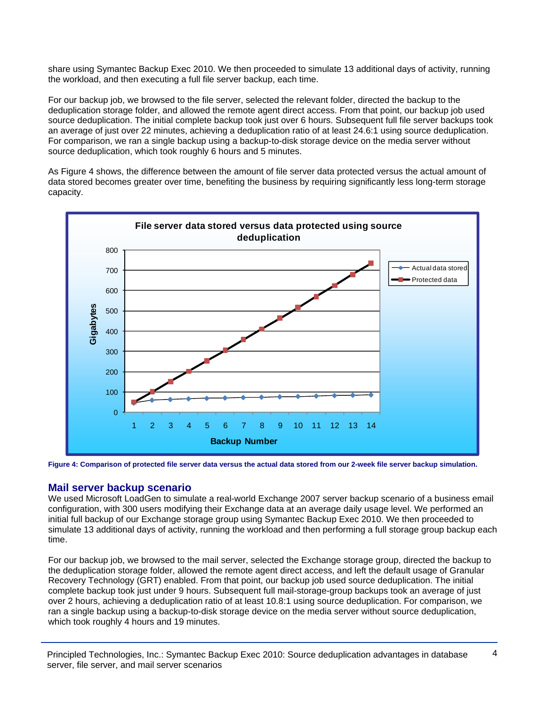share using Symantec Backup Exec 2010. We then proceeded to simulate 13 additional days of activity, running the workload, and then executing a full file server backup, each time.

For our backup job, we browsed to the file server, selected the relevant folder, directed the backup to the deduplication storage folder, and allowed the remote agent direct access. From that point, our backup job used source deduplication. The initial complete backup took just over 6 hours. Subsequent full file server backups took an average of just over 22 minutes, achieving a deduplication ratio of at least 24.6:1 using source deduplication. For comparison, we ran a single backup using a backup-to-disk storage device on the media server without source deduplication, which took roughly 6 hours and 5 minutes.

As Figure 4 shows, the difference between the amount of file server data protected versus the actual amount of data stored becomes greater over time, benefiting the business by requiring significantly less long-term storage capacity.



**Figure 4: Comparison of protected file server data versus the actual data stored from our 2-week file server backup simulation.**

### **Mail server backup scenario**

We used Microsoft LoadGen to simulate a real-world Exchange 2007 server backup scenario of a business email configuration, with 300 users modifying their Exchange data at an average daily usage level. We performed an initial full backup of our Exchange storage group using Symantec Backup Exec 2010. We then proceeded to simulate 13 additional days of activity, running the workload and then performing a full storage group backup each time.

For our backup job, we browsed to the mail server, selected the Exchange storage group, directed the backup to the deduplication storage folder, allowed the remote agent direct access, and left the default usage of Granular Recovery Technology (GRT) enabled. From that point, our backup job used source deduplication. The initial complete backup took just under 9 hours. Subsequent full mail-storage-group backups took an average of just over 2 hours, achieving a deduplication ratio of at least 10.8:1 using source deduplication. For comparison, we ran a single backup using a backup-to-disk storage device on the media server without source deduplication, which took roughly 4 hours and 19 minutes.